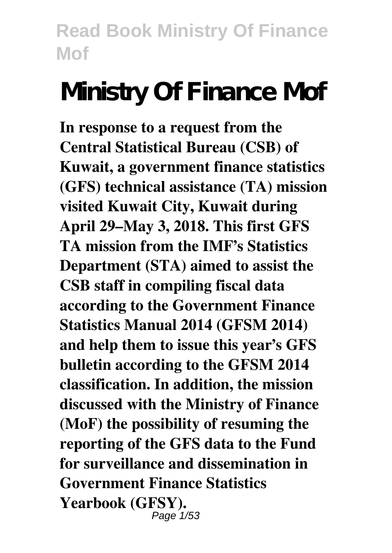# **Ministry Of Finance Mof**

**In response to a request from the Central Statistical Bureau (CSB) of Kuwait, a government finance statistics (GFS) technical assistance (TA) mission visited Kuwait City, Kuwait during April 29–May 3, 2018. This first GFS TA mission from the IMF's Statistics Department (STA) aimed to assist the CSB staff in compiling fiscal data according to the Government Finance Statistics Manual 2014 (GFSM 2014) and help them to issue this year's GFS bulletin according to the GFSM 2014 classification. In addition, the mission discussed with the Ministry of Finance (MoF) the possibility of resuming the reporting of the GFS data to the Fund for surveillance and dissemination in Government Finance Statistics Yearbook (GFSY).** Page 1/53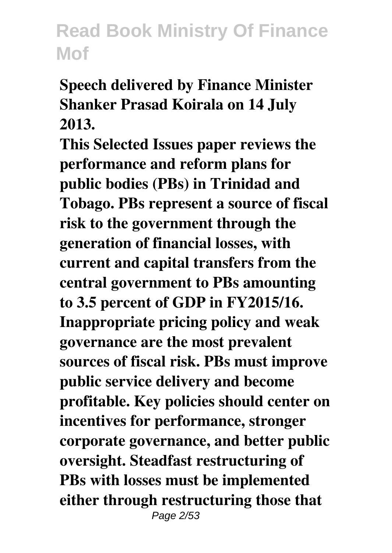**Speech delivered by Finance Minister Shanker Prasad Koirala on 14 July 2013.**

**This Selected Issues paper reviews the performance and reform plans for public bodies (PBs) in Trinidad and Tobago. PBs represent a source of fiscal risk to the government through the generation of financial losses, with current and capital transfers from the central government to PBs amounting to 3.5 percent of GDP in FY2015/16. Inappropriate pricing policy and weak governance are the most prevalent sources of fiscal risk. PBs must improve public service delivery and become profitable. Key policies should center on incentives for performance, stronger corporate governance, and better public oversight. Steadfast restructuring of PBs with losses must be implemented either through restructuring those that** Page 2/53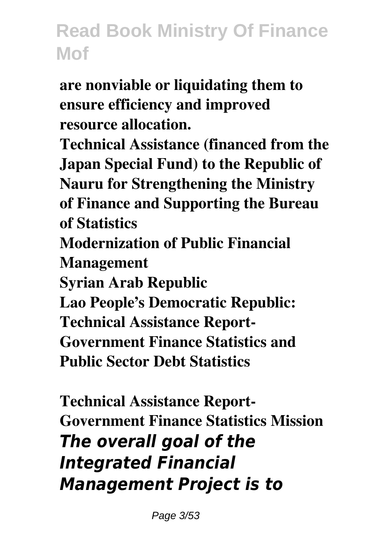**are nonviable or liquidating them to ensure efficiency and improved resource allocation.**

**Technical Assistance (financed from the Japan Special Fund) to the Republic of Nauru for Strengthening the Ministry of Finance and Supporting the Bureau of Statistics Modernization of Public Financial Management Syrian Arab Republic Lao People's Democratic Republic: Technical Assistance Report-Government Finance Statistics and Public Sector Debt Statistics**

**Technical Assistance Report-Government Finance Statistics Mission** *The overall goal of the Integrated Financial Management Project is to*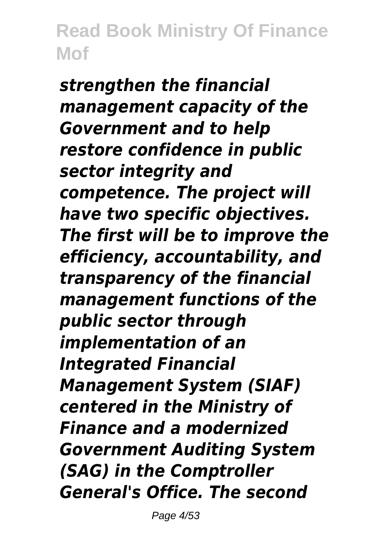*strengthen the financial management capacity of the Government and to help restore confidence in public sector integrity and competence. The project will have two specific objectives. The first will be to improve the efficiency, accountability, and transparency of the financial management functions of the public sector through implementation of an Integrated Financial Management System (SIAF) centered in the Ministry of Finance and a modernized Government Auditing System (SAG) in the Comptroller General's Office. The second*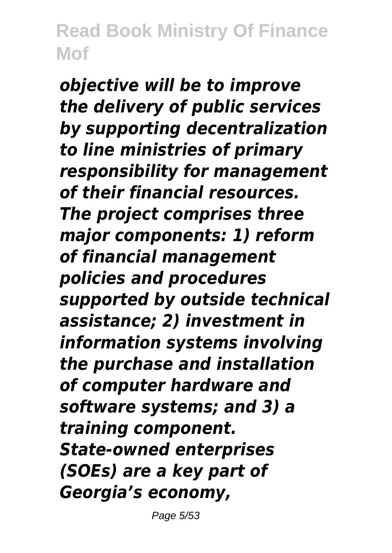*objective will be to improve the delivery of public services by supporting decentralization to line ministries of primary responsibility for management of their financial resources. The project comprises three major components: 1) reform of financial management policies and procedures supported by outside technical assistance; 2) investment in information systems involving the purchase and installation of computer hardware and software systems; and 3) a training component. State-owned enterprises (SOEs) are a key part of Georgia's economy,*

Page 5/53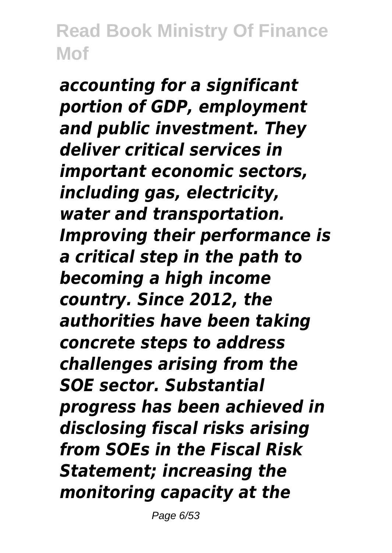*accounting for a significant portion of GDP, employment and public investment. They deliver critical services in important economic sectors, including gas, electricity, water and transportation. Improving their performance is a critical step in the path to becoming a high income country. Since 2012, the authorities have been taking concrete steps to address challenges arising from the SOE sector. Substantial progress has been achieved in disclosing fiscal risks arising from SOEs in the Fiscal Risk Statement; increasing the monitoring capacity at the*

Page 6/53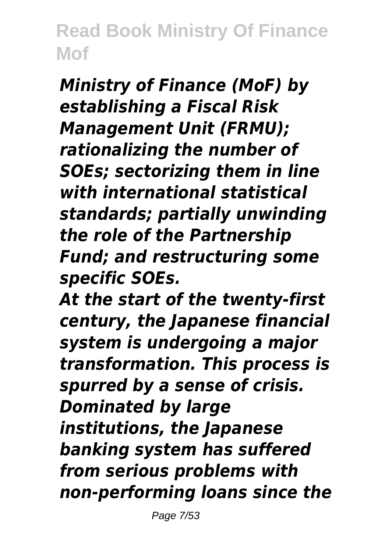*Ministry of Finance (MoF) by establishing a Fiscal Risk Management Unit (FRMU); rationalizing the number of SOEs; sectorizing them in line with international statistical standards; partially unwinding the role of the Partnership Fund; and restructuring some specific SOEs.*

*At the start of the twenty-first century, the Japanese financial system is undergoing a major transformation. This process is spurred by a sense of crisis. Dominated by large institutions, the Japanese banking system has suffered from serious problems with non-performing loans since the*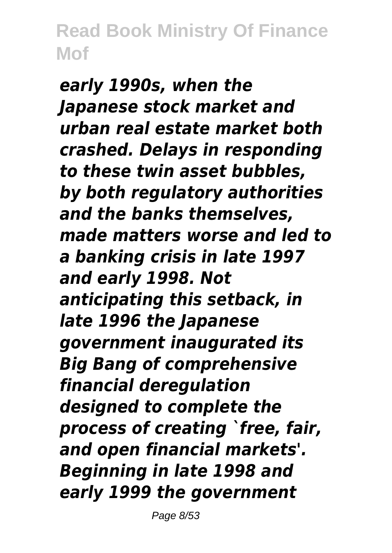*early 1990s, when the Japanese stock market and urban real estate market both crashed. Delays in responding to these twin asset bubbles, by both regulatory authorities and the banks themselves, made matters worse and led to a banking crisis in late 1997 and early 1998. Not anticipating this setback, in late 1996 the Japanese government inaugurated its Big Bang of comprehensive financial deregulation designed to complete the process of creating `free, fair, and open financial markets'. Beginning in late 1998 and early 1999 the government*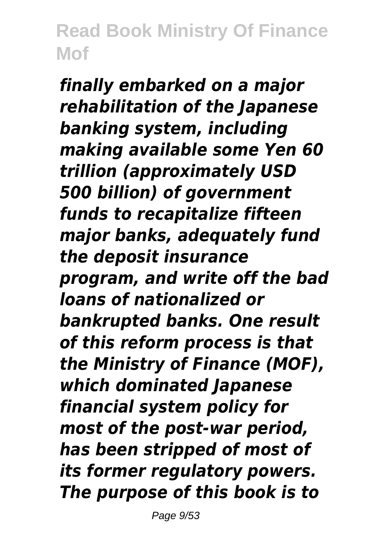*finally embarked on a major rehabilitation of the Japanese banking system, including making available some Yen 60 trillion (approximately USD 500 billion) of government funds to recapitalize fifteen major banks, adequately fund the deposit insurance program, and write off the bad loans of nationalized or bankrupted banks. One result of this reform process is that the Ministry of Finance (MOF), which dominated Japanese financial system policy for most of the post-war period, has been stripped of most of its former regulatory powers. The purpose of this book is to*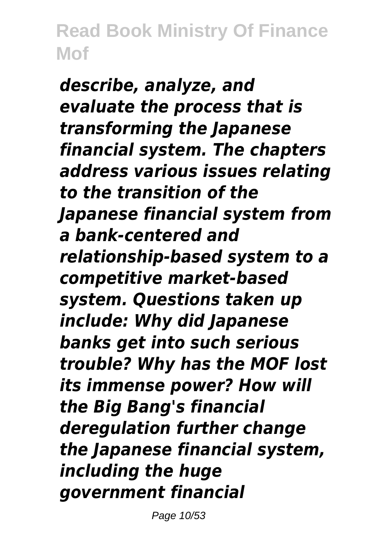*describe, analyze, and evaluate the process that is transforming the Japanese financial system. The chapters address various issues relating to the transition of the Japanese financial system from a bank-centered and relationship-based system to a competitive market-based system. Questions taken up include: Why did Japanese banks get into such serious trouble? Why has the MOF lost its immense power? How will the Big Bang's financial deregulation further change the Japanese financial system, including the huge government financial*

Page 10/53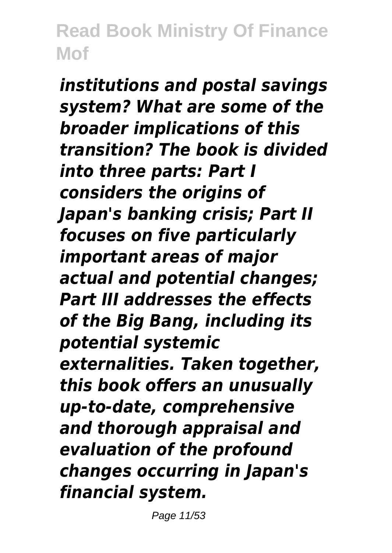*institutions and postal savings system? What are some of the broader implications of this transition? The book is divided into three parts: Part I considers the origins of Japan's banking crisis; Part II focuses on five particularly important areas of major actual and potential changes; Part III addresses the effects of the Big Bang, including its potential systemic externalities. Taken together, this book offers an unusually up-to-date, comprehensive and thorough appraisal and evaluation of the profound changes occurring in Japan's financial system.*

Page 11/53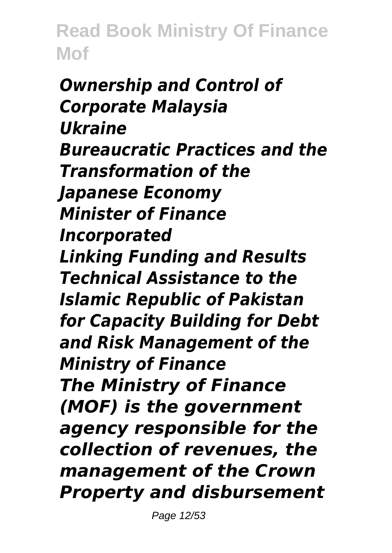*Ownership and Control of Corporate Malaysia Ukraine Bureaucratic Practices and the Transformation of the Japanese Economy Minister of Finance Incorporated Linking Funding and Results Technical Assistance to the Islamic Republic of Pakistan for Capacity Building for Debt and Risk Management of the Ministry of Finance The Ministry of Finance (MOF) is the government agency responsible for the collection of revenues, the management of the Crown Property and disbursement*

Page 12/53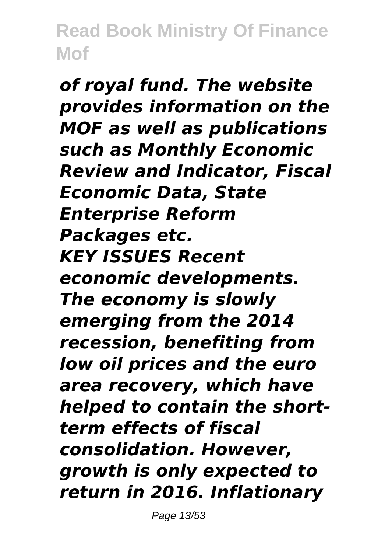*of royal fund. The website provides information on the MOF as well as publications such as Monthly Economic Review and Indicator, Fiscal Economic Data, State Enterprise Reform Packages etc. KEY ISSUES Recent economic developments. The economy is slowly emerging from the 2014 recession, benefiting from low oil prices and the euro area recovery, which have helped to contain the shortterm effects of fiscal consolidation. However, growth is only expected to return in 2016. Inflationary*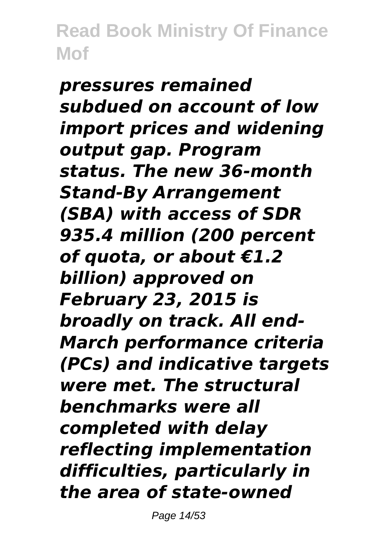*pressures remained subdued on account of low import prices and widening output gap. Program status. The new 36-month Stand-By Arrangement (SBA) with access of SDR 935.4 million (200 percent of quota, or about €1.2 billion) approved on February 23, 2015 is broadly on track. All end-March performance criteria (PCs) and indicative targets were met. The structural benchmarks were all completed with delay reflecting implementation difficulties, particularly in the area of state-owned*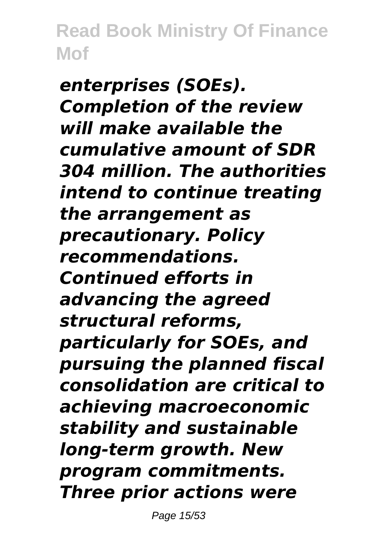*enterprises (SOEs). Completion of the review will make available the cumulative amount of SDR 304 million. The authorities intend to continue treating the arrangement as precautionary. Policy recommendations. Continued efforts in advancing the agreed structural reforms, particularly for SOEs, and pursuing the planned fiscal consolidation are critical to achieving macroeconomic stability and sustainable long-term growth. New program commitments. Three prior actions were*

Page 15/53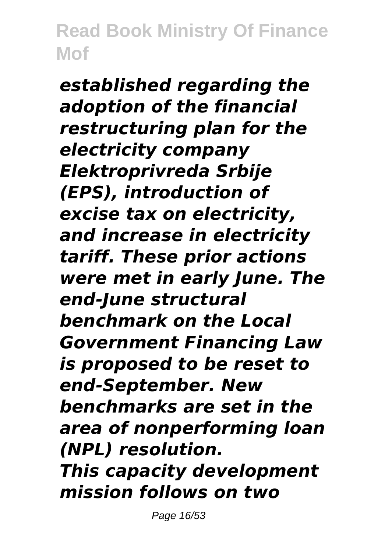*established regarding the adoption of the financial restructuring plan for the electricity company Elektroprivreda Srbije (EPS), introduction of excise tax on electricity, and increase in electricity tariff. These prior actions were met in early June. The end-June structural benchmark on the Local Government Financing Law is proposed to be reset to end-September. New benchmarks are set in the area of nonperforming loan (NPL) resolution. This capacity development mission follows on two*

Page 16/53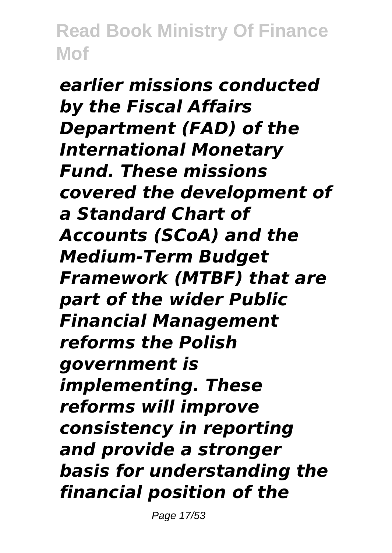*earlier missions conducted by the Fiscal Affairs Department (FAD) of the International Monetary Fund. These missions covered the development of a Standard Chart of Accounts (SCoA) and the Medium-Term Budget Framework (MTBF) that are part of the wider Public Financial Management reforms the Polish government is implementing. These reforms will improve consistency in reporting and provide a stronger basis for understanding the financial position of the*

Page 17/53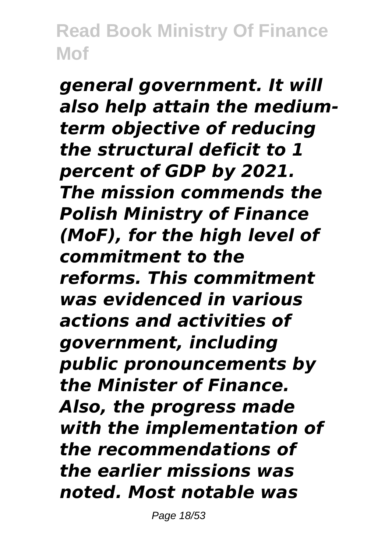*general government. It will also help attain the mediumterm objective of reducing the structural deficit to 1 percent of GDP by 2021. The mission commends the Polish Ministry of Finance (MoF), for the high level of commitment to the reforms. This commitment was evidenced in various actions and activities of government, including public pronouncements by the Minister of Finance. Also, the progress made with the implementation of the recommendations of the earlier missions was noted. Most notable was*

Page 18/53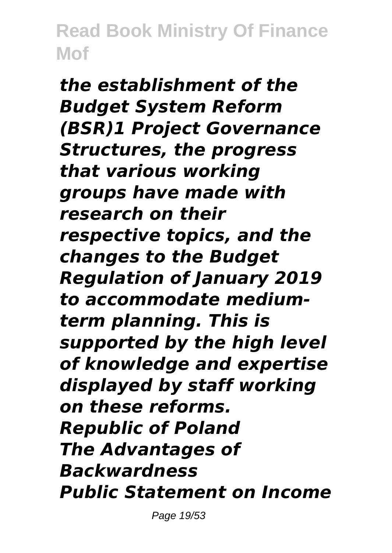*the establishment of the Budget System Reform (BSR)1 Project Governance Structures, the progress that various working groups have made with research on their respective topics, and the changes to the Budget Regulation of January 2019 to accommodate mediumterm planning. This is supported by the high level of knowledge and expertise displayed by staff working on these reforms. Republic of Poland The Advantages of Backwardness Public Statement on Income*

Page 19/53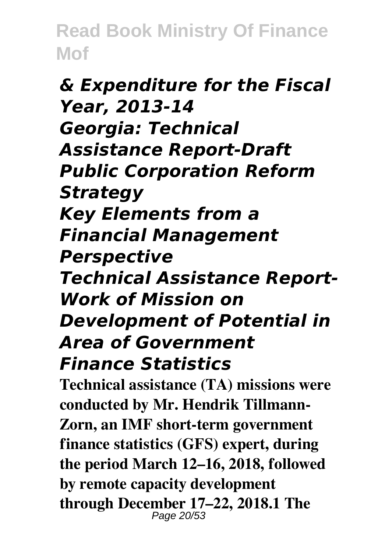#### *& Expenditure for the Fiscal Year, 2013-14 Georgia: Technical Assistance Report-Draft Public Corporation Reform Strategy Key Elements from a Financial Management Perspective Technical Assistance Report-Work of Mission on Development of Potential in Area of Government Finance Statistics*

**Technical assistance (TA) missions were conducted by Mr. Hendrik Tillmann-Zorn, an IMF short-term government finance statistics (GFS) expert, during the period March 12–16, 2018, followed by remote capacity development through December 17–22, 2018.1 The** Page 20/53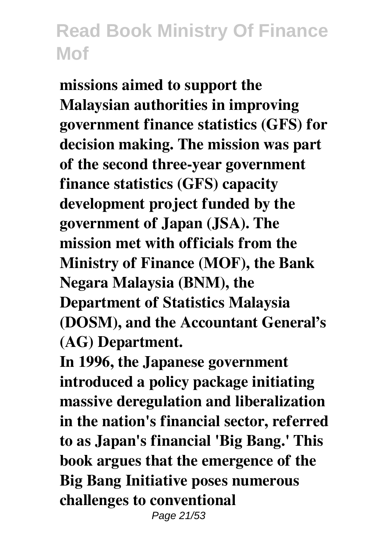**missions aimed to support the Malaysian authorities in improving government finance statistics (GFS) for decision making. The mission was part of the second three-year government finance statistics (GFS) capacity development project funded by the government of Japan (JSA). The mission met with officials from the Ministry of Finance (MOF), the Bank Negara Malaysia (BNM), the Department of Statistics Malaysia (DOSM), and the Accountant General's (AG) Department.**

**In 1996, the Japanese government introduced a policy package initiating massive deregulation and liberalization in the nation's financial sector, referred to as Japan's financial 'Big Bang.' This book argues that the emergence of the Big Bang Initiative poses numerous challenges to conventional** Page 21/53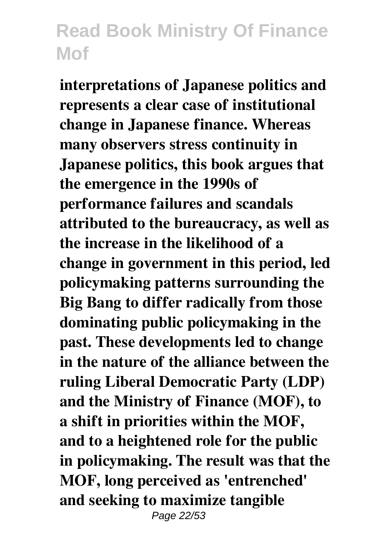**interpretations of Japanese politics and represents a clear case of institutional change in Japanese finance. Whereas many observers stress continuity in Japanese politics, this book argues that the emergence in the 1990s of performance failures and scandals attributed to the bureaucracy, as well as the increase in the likelihood of a change in government in this period, led policymaking patterns surrounding the Big Bang to differ radically from those dominating public policymaking in the past. These developments led to change in the nature of the alliance between the ruling Liberal Democratic Party (LDP) and the Ministry of Finance (MOF), to a shift in priorities within the MOF, and to a heightened role for the public in policymaking. The result was that the MOF, long perceived as 'entrenched' and seeking to maximize tangible** Page 22/53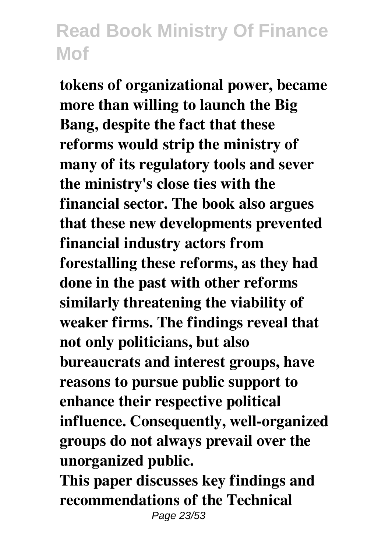**tokens of organizational power, became more than willing to launch the Big Bang, despite the fact that these reforms would strip the ministry of many of its regulatory tools and sever the ministry's close ties with the financial sector. The book also argues that these new developments prevented financial industry actors from forestalling these reforms, as they had done in the past with other reforms similarly threatening the viability of weaker firms. The findings reveal that not only politicians, but also bureaucrats and interest groups, have reasons to pursue public support to enhance their respective political influence. Consequently, well-organized groups do not always prevail over the unorganized public.**

**This paper discusses key findings and recommendations of the Technical** Page 23/53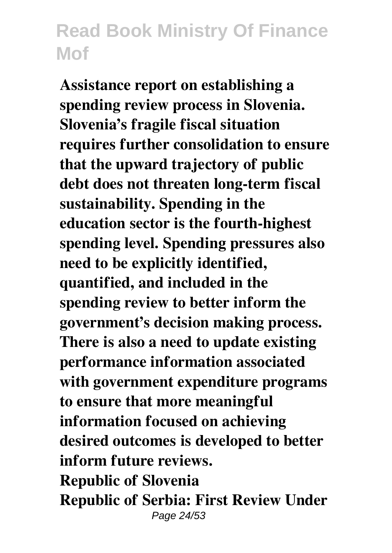**Assistance report on establishing a spending review process in Slovenia. Slovenia's fragile fiscal situation requires further consolidation to ensure that the upward trajectory of public debt does not threaten long-term fiscal sustainability. Spending in the education sector is the fourth-highest spending level. Spending pressures also need to be explicitly identified, quantified, and included in the spending review to better inform the government's decision making process. There is also a need to update existing performance information associated with government expenditure programs to ensure that more meaningful information focused on achieving desired outcomes is developed to better inform future reviews. Republic of Slovenia Republic of Serbia: First Review Under** Page 24/53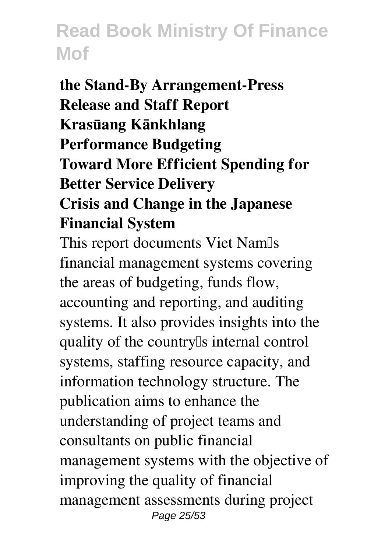**the Stand-By Arrangement-Press Release and Staff Report Krasūang Kānkhlang Performance Budgeting Toward More Efficient Spending for Better Service Delivery Crisis and Change in the Japanese Financial System**

This report documents Viet Nam<sup>[]</sup>s financial management systems covering the areas of budgeting, funds flow, accounting and reporting, and auditing systems. It also provides insights into the quality of the country<sup>[]</sup>s internal control systems, staffing resource capacity, and information technology structure. The publication aims to enhance the understanding of project teams and consultants on public financial management systems with the objective of improving the quality of financial management assessments during project Page 25/53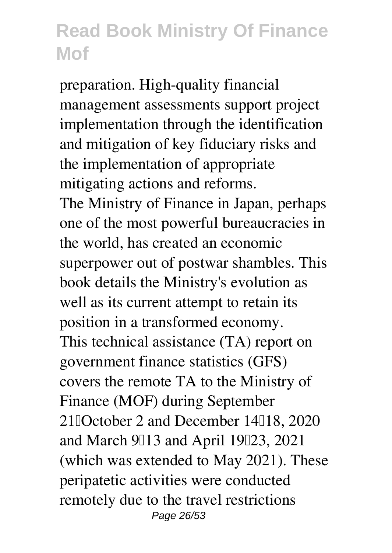preparation. High-quality financial management assessments support project implementation through the identification and mitigation of key fiduciary risks and the implementation of appropriate mitigating actions and reforms. The Ministry of Finance in Japan, perhaps one of the most powerful bureaucracies in the world, has created an economic superpower out of postwar shambles. This book details the Ministry's evolution as well as its current attempt to retain its position in a transformed economy. This technical assistance (TA) report on government finance statistics (GFS) covers the remote TA to the Ministry of Finance (MOF) during September 21 $\Omega$ October 2 and December 14 $\Omega$ 18, 2020 and March  $9$ <sup>[13]</sup> and April 19<sup>[123</sup>, 2021] (which was extended to May 2021). These peripatetic activities were conducted remotely due to the travel restrictions Page 26/53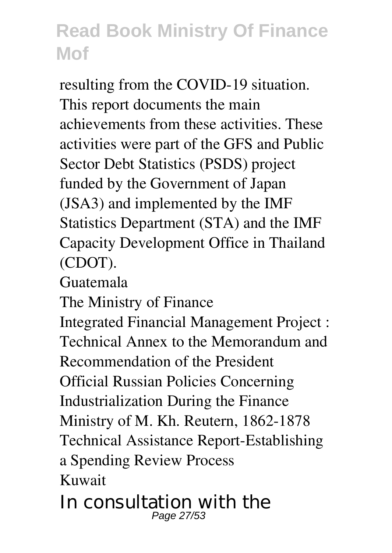resulting from the COVID-19 situation. This report documents the main achievements from these activities. These activities were part of the GFS and Public Sector Debt Statistics (PSDS) project funded by the Government of Japan (JSA3) and implemented by the IMF Statistics Department (STA) and the IMF Capacity Development Office in Thailand (CDOT).

Guatemala

The Ministry of Finance

Integrated Financial Management Project : Technical Annex to the Memorandum and Recommendation of the President Official Russian Policies Concerning Industrialization During the Finance Ministry of M. Kh. Reutern, 1862-1878 Technical Assistance Report-Establishing a Spending Review Process Kuwait

In consultation with the Page 27/53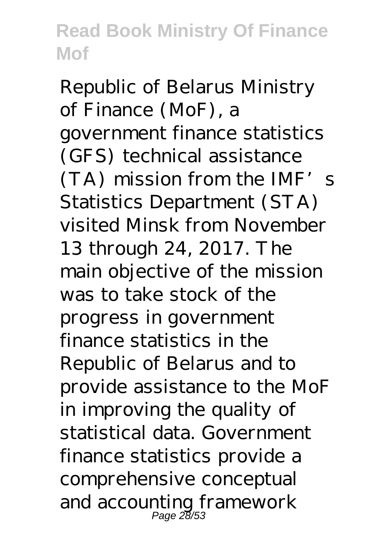Republic of Belarus Ministry of Finance (MoF), a government finance statistics (GFS) technical assistance  $(TA)$  mission from the IMF's Statistics Department (STA) visited Minsk from November 13 through 24, 2017. The main objective of the mission was to take stock of the progress in government finance statistics in the Republic of Belarus and to provide assistance to the MoF in improving the quality of statistical data. Government finance statistics provide a comprehensive conceptual and accounting framework Page 28/53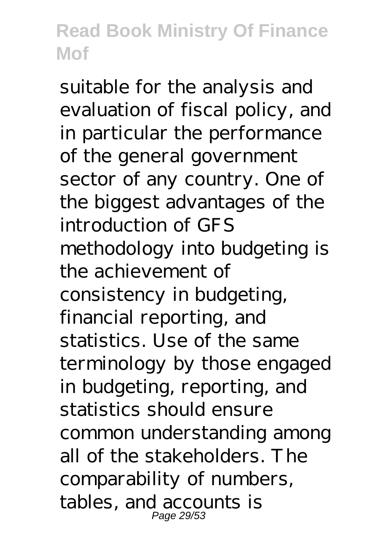suitable for the analysis and evaluation of fiscal policy, and in particular the performance of the general government sector of any country. One of the biggest advantages of the introduction of GFS methodology into budgeting is the achievement of consistency in budgeting, financial reporting, and statistics. Use of the same terminology by those engaged in budgeting, reporting, and statistics should ensure common understanding among all of the stakeholders. The comparability of numbers, tables, and accounts is Page 29/53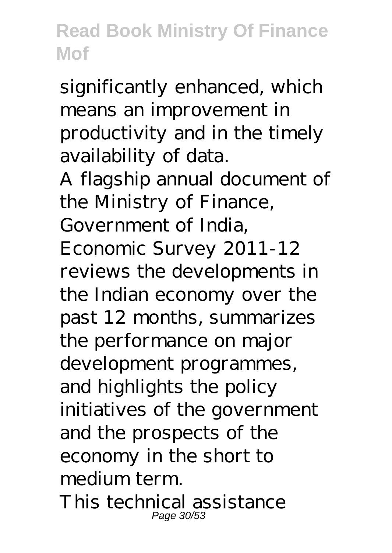significantly enhanced, which means an improvement in productivity and in the timely availability of data.

A flagship annual document of the Ministry of Finance, Government of India, Economic Survey 2011-12 reviews the developments in the Indian economy over the past 12 months, summarizes the performance on major development programmes, and highlights the policy initiatives of the government and the prospects of the economy in the short to medium term. This technical assistance Page 30/5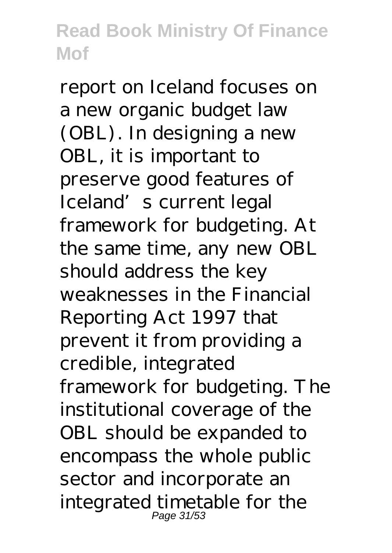report on Iceland focuses on a new organic budget law (OBL). In designing a new OBL, it is important to preserve good features of Iceland's current legal framework for budgeting. At the same time, any new OBL should address the key weaknesses in the Financial Reporting Act 1997 that prevent it from providing a credible, integrated framework for budgeting. The institutional coverage of the OBL should be expanded to encompass the whole public sector and incorporate an integrated timetable for the Page 31/53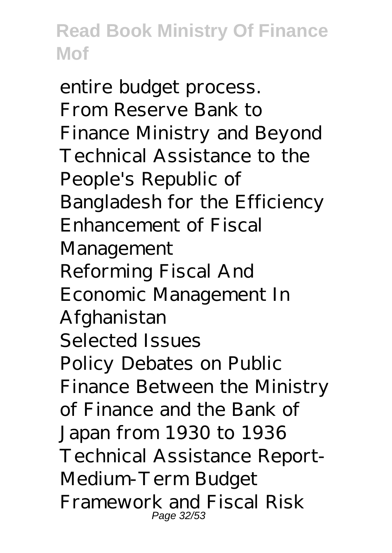entire budget process. From Reserve Bank to Finance Ministry and Beyond Technical Assistance to the People's Republic of Bangladesh for the Efficiency Enhancement of Fiscal Management Reforming Fiscal And Economic Management In Afghanistan Selected Issues Policy Debates on Public Finance Between the Ministry of Finance and the Bank of Japan from 1930 to 1936 Technical Assistance Report-Medium-Term Budget Framework and Fiscal Risk Page 32/53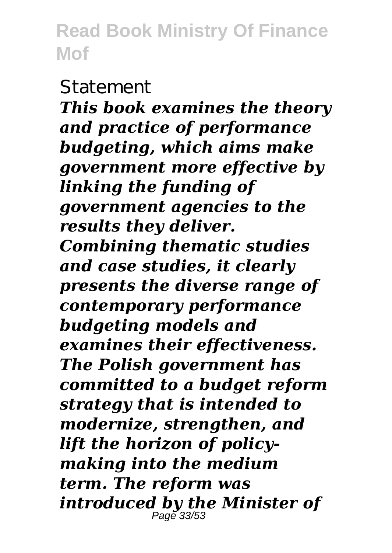#### **Statement**

*This book examines the theory and practice of performance budgeting, which aims make government more effective by linking the funding of government agencies to the results they deliver. Combining thematic studies and case studies, it clearly presents the diverse range of contemporary performance budgeting models and examines their effectiveness. The Polish government has committed to a budget reform strategy that is intended to modernize, strengthen, and lift the horizon of policymaking into the medium term. The reform was introduced by the Minister of* Page 33/53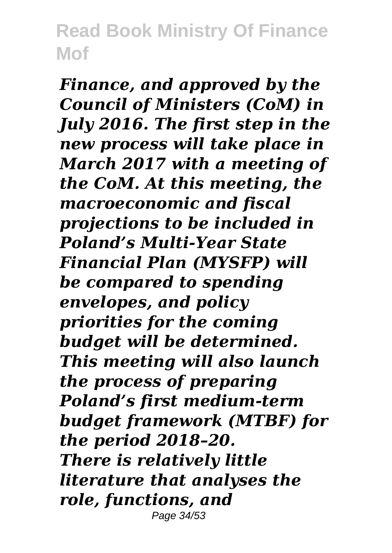*Finance, and approved by the Council of Ministers (CoM) in July 2016. The first step in the new process will take place in March 2017 with a meeting of the CoM. At this meeting, the macroeconomic and fiscal projections to be included in Poland's Multi-Year State Financial Plan (MYSFP) will be compared to spending envelopes, and policy priorities for the coming budget will be determined. This meeting will also launch the process of preparing Poland's first medium-term budget framework (MTBF) for the period 2018–20. There is relatively little literature that analyses the role, functions, and* Page 34/53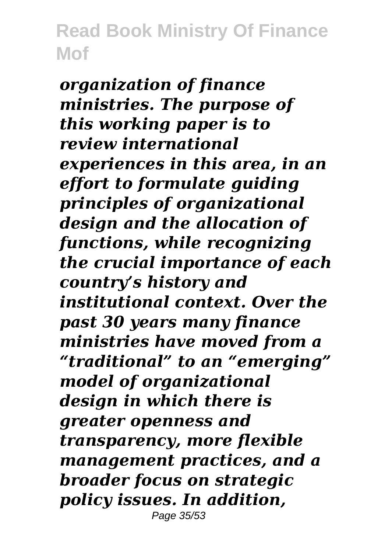*organization of finance ministries. The purpose of this working paper is to review international experiences in this area, in an effort to formulate guiding principles of organizational design and the allocation of functions, while recognizing the crucial importance of each country's history and institutional context. Over the past 30 years many finance ministries have moved from a "traditional" to an "emerging" model of organizational design in which there is greater openness and transparency, more flexible management practices, and a broader focus on strategic policy issues. In addition,* Page 35/53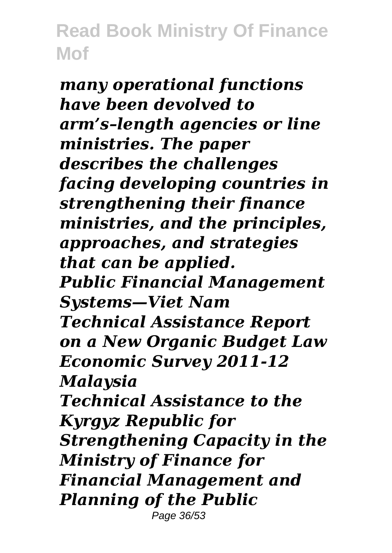*many operational functions have been devolved to arm's–length agencies or line ministries. The paper describes the challenges facing developing countries in strengthening their finance ministries, and the principles, approaches, and strategies that can be applied. Public Financial Management Systems—Viet Nam Technical Assistance Report on a New Organic Budget Law Economic Survey 2011-12 Malaysia Technical Assistance to the Kyrgyz Republic for Strengthening Capacity in the Ministry of Finance for Financial Management and Planning of the Public* Page 36/53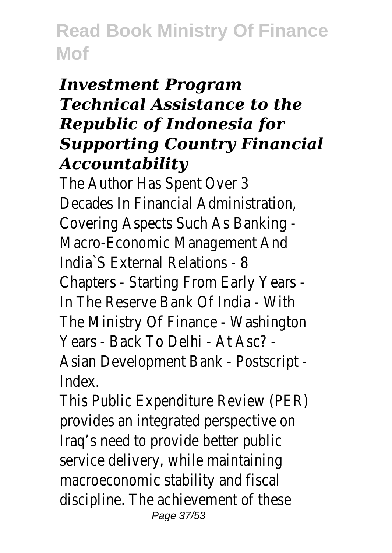#### *Investment Program Technical Assistance to the Republic of Indonesia for Supporting Country Financial Accountability*

The Author Has Spent Over 3 Decades In Financial Administration, Covering Aspects Such As Banking - Macro-Economic Management And India`S External Relations - 8 Chapters - Starting From Early Years - In The Reserve Bank Of India - With The Ministry Of Finance - Washington Years - Back To Delhi - At Asc? - Asian Development Bank - Postscript - Index.

This Public Expenditure Review (PER) provides an integrated perspective on Iraq's need to provide better public service delivery, while maintaining macroeconomic stability and fiscal discipline. The achievement of these Page 37/53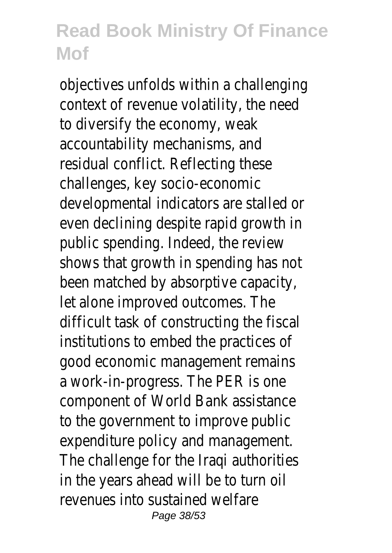objectives unfolds within a challenging context of revenue volatility, the need to diversify the economy, weak accountability mechanisms, and residual conflict. Reflecting these challenges, key socio-economic developmental indicators are stalled or even declining despite rapid growth in public spending. Indeed, the review shows that growth in spending has not been matched by absorptive capacity, let alone improved outcomes. The difficult task of constructing the fiscal institutions to embed the practices of good economic management remains a work-in-progress. The PER is one component of World Bank assistance to the government to improve public expenditure policy and management. The challenge for the Iraqi authorities in the years ahead will be to turn oil revenues into sustained welfare Page 38/53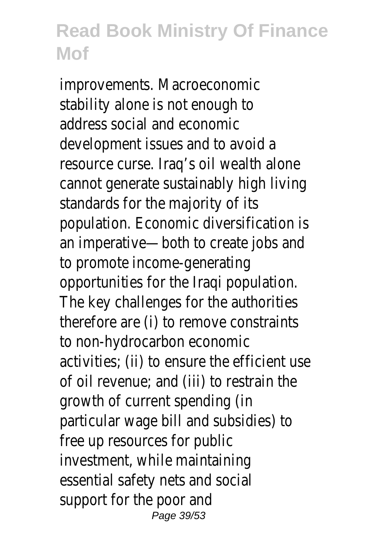improvements. Macroeconomic stability alone is not enough to address social and economic development issues and to avoid a resource curse. Iraq's oil wealth alone cannot generate sustainably high living standards for the majority of its population. Economic diversification is an imperative—both to create jobs and to promote income-generating opportunities for the Iraqi population. The key challenges for the authorities therefore are (i) to remove constraints to non-hydrocarbon economic activities; (ii) to ensure the efficient use of oil revenue; and (iii) to restrain the growth of current spending (in particular wage bill and subsidies) to free up resources for public investment, while maintaining essential safety nets and social support for the poor and Page 39/53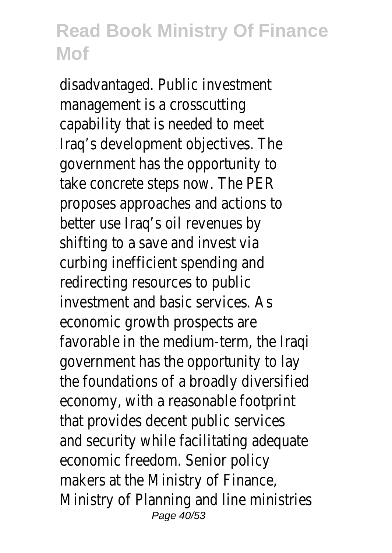disadvantaged. Public investment management is a crosscutting capability that is needed to meet Iraq's development objectives. The government has the opportunity to take concrete steps now. The PER proposes approaches and actions to better use Iraq's oil revenues by shifting to a save and invest via curbing inefficient spending and redirecting resources to public investment and basic services. As economic growth prospects are favorable in the medium-term, the Iraqi government has the opportunity to lay the foundations of a broadly diversified economy, with a reasonable footprint that provides decent public services and security while facilitating adequate economic freedom. Senior policy makers at the Ministry of Finance, Ministry of Planning and line ministries Page 40/53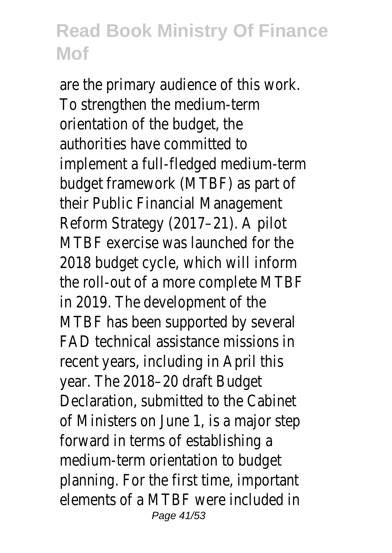are the primary audience of this work. To strengthen the medium-term orientation of the budget, the authorities have committed to implement a full-fledged medium-term budget framework (MTBF) as part of their Public Financial Management Reform Strategy (2017–21). A pilot MTBF exercise was launched for the 2018 budget cycle, which will inform the roll-out of a more complete MTBF in 2019. The development of the MTBF has been supported by several FAD technical assistance missions in recent years, including in April this year. The 2018–20 draft Budget Declaration, submitted to the Cabinet of Ministers on June 1, is a major step forward in terms of establishing a medium-term orientation to budget planning. For the first time, important elements of a MTBF were included in Page 41/53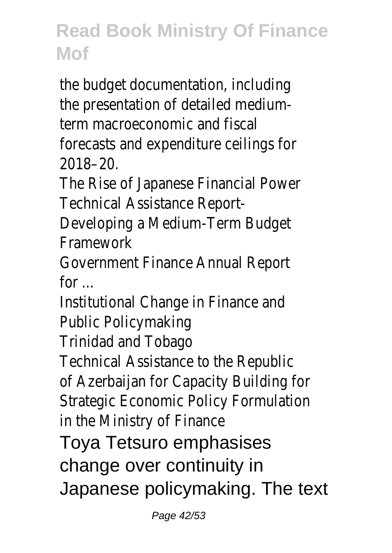the budget documentation, including the presentation of detailed mediumterm macroeconomic and fiscal forecasts and expenditure ceilings for 2018–20.

The Rise of Japanese Financial Power Technical Assistance Report-

Developing a Medium-Term Budget Framework

Government Finance Annual Report for ...

Institutional Change in Finance and Public Policymaking

Trinidad and Tobago

Technical Assistance to the Republic of Azerbaijan for Capacity Building for Strategic Economic Policy Formulation in the Ministry of Finance

Toya Tetsuro emphasises change over continuity in

Japanese policymaking. The text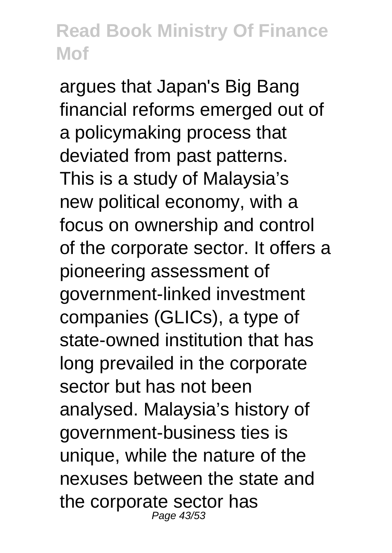argues that Japan's Big Bang financial reforms emerged out of a policymaking process that deviated from past patterns. This is a study of Malaysia's new political economy, with a focus on ownership and control of the corporate sector. It offers a pioneering assessment of government-linked investment companies (GLICs), a type of state-owned institution that has long prevailed in the corporate sector but has not been analysed. Malaysia's history of government-business ties is unique, while the nature of the nexuses between the state and the corporate sector has Page 43/53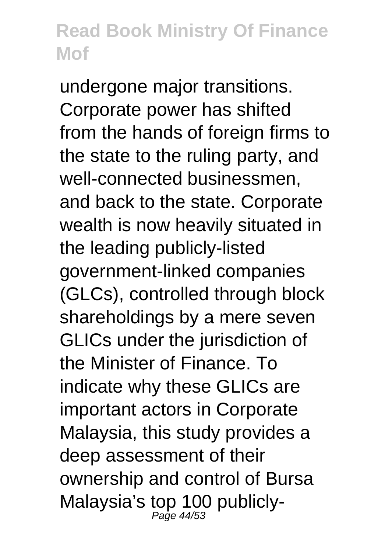undergone major transitions. Corporate power has shifted from the hands of foreign firms to the state to the ruling party, and well-connected businessmen, and back to the state. Corporate wealth is now heavily situated in the leading publicly-listed government-linked companies (GLCs), controlled through block shareholdings by a mere seven GLICs under the jurisdiction of the Minister of Finance. To indicate why these GLICs are important actors in Corporate Malaysia, this study provides a deep assessment of their ownership and control of Bursa Malaysia's top 100 publicly-<br>
<sub>Page 44/53</sub>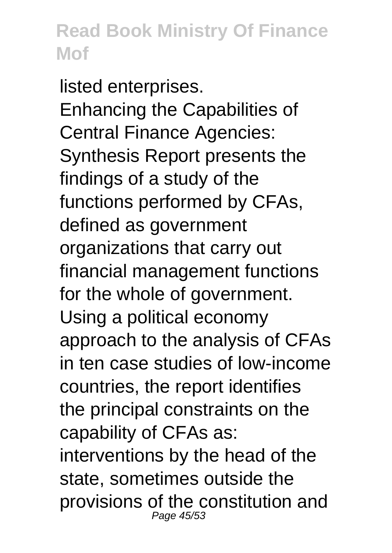listed enterprises. Enhancing the Capabilities of Central Finance Agencies: Synthesis Report presents the findings of a study of the functions performed by CFAs, defined as government organizations that carry out financial management functions for the whole of government. Using a political economy approach to the analysis of CFAs in ten case studies of low-income countries, the report identifies the principal constraints on the capability of CFAs as: interventions by the head of the state, sometimes outside the provisions of the constitution and Page 45/53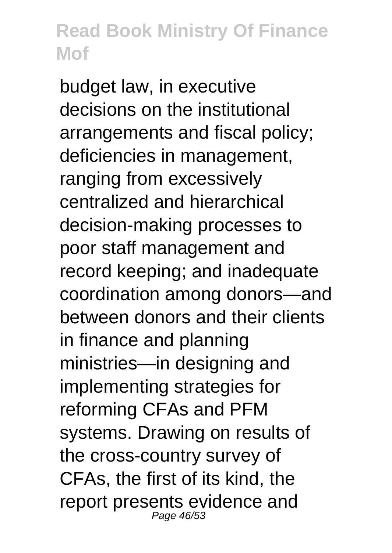budget law, in executive decisions on the institutional arrangements and fiscal policy; deficiencies in management, ranging from excessively centralized and hierarchical decision-making processes to poor staff management and record keeping; and inadequate coordination among donors—and between donors and their clients in finance and planning ministries—in designing and implementing strategies for reforming CFAs and PFM systems. Drawing on results of the cross-country survey of CFAs, the first of its kind, the report presents evidence and Page 46/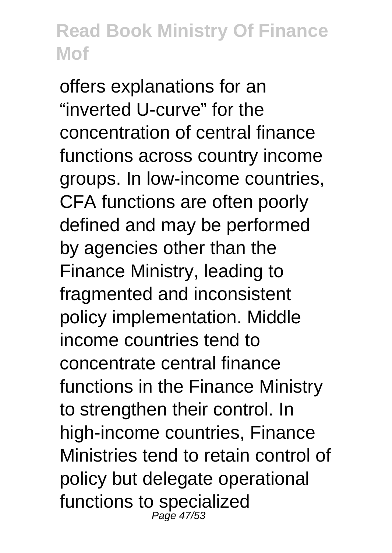offers explanations for an "inverted U-curve" for the concentration of central finance functions across country income groups. In low-income countries, CFA functions are often poorly defined and may be performed by agencies other than the Finance Ministry, leading to fragmented and inconsistent policy implementation. Middle income countries tend to concentrate central finance functions in the Finance Ministry to strengthen their control. In high-income countries, Finance Ministries tend to retain control of policy but delegate operational functions to specialized Page 47/53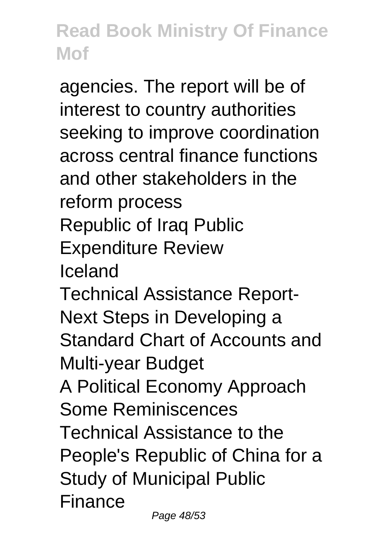agencies. The report will be of interest to country authorities seeking to improve coordination across central finance functions and other stakeholders in the reform process Republic of Iraq Public Expenditure Review Iceland Technical Assistance Report-Next Steps in Developing a Standard Chart of Accounts and Multi-year Budget A Political Economy Approach Some Reminiscences Technical Assistance to the People's Republic of China for a Study of Municipal Public Finance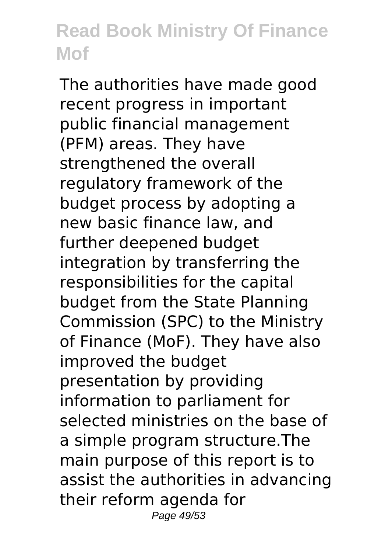The authorities have made good recent progress in important public financial management (PFM) areas. They have strengthened the overall regulatory framework of the budget process by adopting a new basic finance law, and further deepened budget integration by transferring the responsibilities for the capital budget from the State Planning Commission (SPC) to the Ministry of Finance (MoF). They have also improved the budget presentation by providing information to parliament for selected ministries on the base of a simple program structure.The main purpose of this report is to assist the authorities in advancing their reform agenda for Page 49/53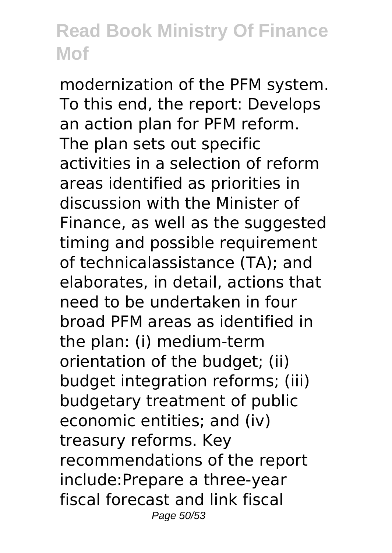modernization of the PFM system. To this end, the report: Develops an action plan for PFM reform. The plan sets out specific activities in a selection of reform areas identified as priorities in discussion with the Minister of Finance, as well as the suggested timing and possible requirement of technicalassistance (TA); and elaborates, in detail, actions that need to be undertaken in four broad PFM areas as identified in the plan: (i) medium-term orientation of the budget; (ii) budget integration reforms; (iii) budgetary treatment of public economic entities; and (iv) treasury reforms. Key recommendations of the report include:Prepare a three-year fiscal forecast and link fiscal Page 50/53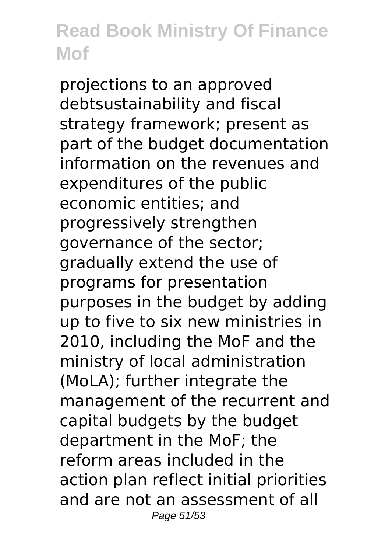projections to an approved debtsustainability and fiscal strategy framework; present as part of the budget documentation information on the revenues and expenditures of the public economic entities; and progressively strengthen governance of the sector; gradually extend the use of programs for presentation purposes in the budget by adding up to five to six new ministries in 2010, including the MoF and the ministry of local administration (MoLA); further integrate the management of the recurrent and capital budgets by the budget department in the MoF; the reform areas included in the action plan reflect initial priorities and are not an assessment of all Page 51/53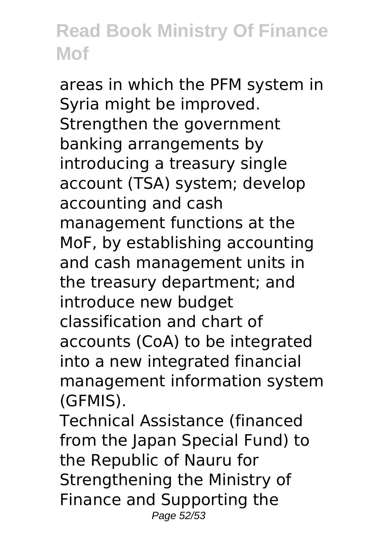areas in which the PFM system in Syria might be improved. Strengthen the government banking arrangements by introducing a treasury single account (TSA) system; develop accounting and cash management functions at the MoF, by establishing accounting and cash management units in the treasury department; and introduce new budget classification and chart of accounts (CoA) to be integrated into a new integrated financial management information system (GFMIS).

Technical Assistance (financed from the Japan Special Fund) to the Republic of Nauru for Strengthening the Ministry of Finance and Supporting the Page 52/53